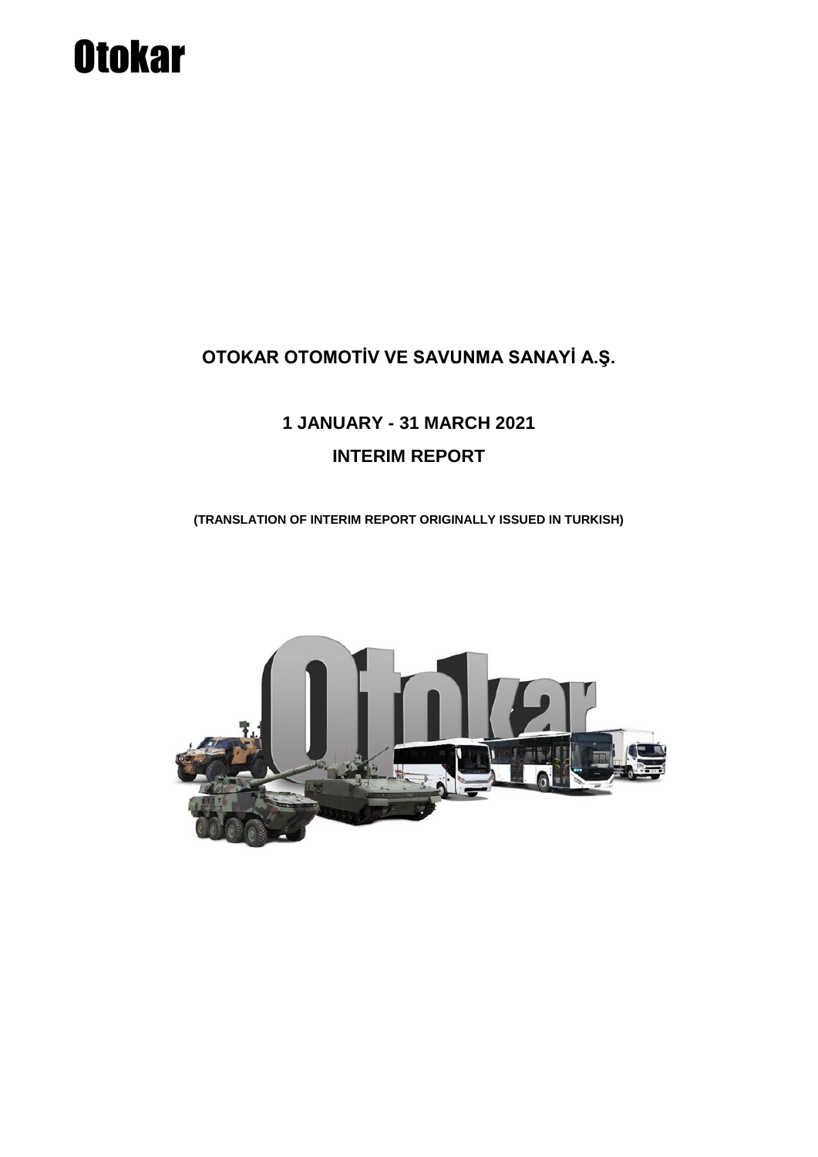# **Otokar**

### **OTOKAR OTOMOTİV VE SAVUNMA SANAYİ A.Ş.**

## **1 JANUARY - 31 MARCH 2021 INTERIM REPORT**

**(TRANSLATION OF INTERIM REPORT ORIGINALLY ISSUED IN TURKISH)**

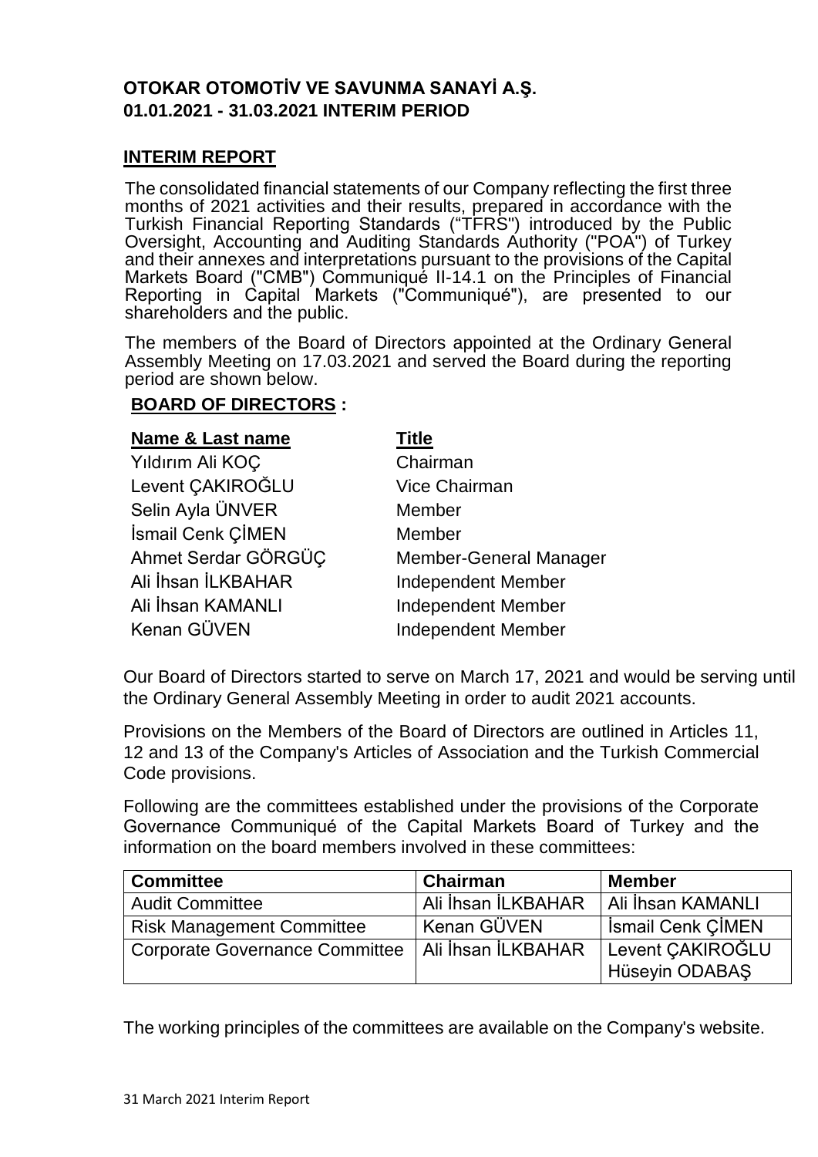#### **OTOKAR OTOMOTİV VE SAVUNMA SANAYİ A.Ş. 01.01.2021 - 31.03.2021 INTERIM PERIOD**

#### **INTERIM REPORT**

The consolidated financial statements of our Company reflecting the first three months of 2021 activities and their results, prepared in accordance with the Turkish Financial Reporting Standards ("TFRS") introduced by the Public Oversight, Accounting and Auditing Standards Authority ("POA") of Turkey and their annexes and interpretations pursuant to the provisions of the Capital Markets Board ("CMB") Communiqué II-14.1 on the Principles of Financial Reporting in Capital Markets ("Communiqué"), are presented to our shareholders and the public.

The members of the Board of Directors appointed at the Ordinary General Assembly Meeting on 17.03.2021 and served the Board during the reporting period are shown below.

#### **BOARD OF DIRECTORS :**

| <b>Name &amp; Last name</b> | Title                         |
|-----------------------------|-------------------------------|
| Yıldırım Ali KOÇ            | Chairman                      |
| Levent CAKIROĞLU            | <b>Vice Chairman</b>          |
| Selin Ayla ÜNVER            | Member                        |
| İsmail Cenk ÇİMEN           | Member                        |
| Ahmet Serdar GÖRGÜÇ         | <b>Member-General Manager</b> |
| Ali İhsan İLKBAHAR          | <b>Independent Member</b>     |
| Ali İhsan KAMANLI           | <b>Independent Member</b>     |
| Kenan GÜVEN                 | <b>Independent Member</b>     |

Our Board of Directors started to serve on March 17, 2021 and would be serving until the Ordinary General Assembly Meeting in order to audit 2021 accounts.

Provisions on the Members of the Board of Directors are outlined in Articles 11, 12 and 13 of the Company's Articles of Association and the Turkish Commercial Code provisions.

Following are the committees established under the provisions of the Corporate Governance Communiqué of the Capital Markets Board of Turkey and the information on the board members involved in these committees:

| <b>Committee</b>                      | <b>Chairman</b>    | <b>Member</b>            |
|---------------------------------------|--------------------|--------------------------|
| <b>Audit Committee</b>                | Ali İhsan İLKBAHAR | Ali İhsan KAMANLI        |
| <b>Risk Management Committee</b>      | Kenan GÜVEN        | <b>Ismail Cenk CIMEN</b> |
| <b>Corporate Governance Committee</b> | Ali İhsan İLKBAHAR | Levent CAKIROĞLU         |
|                                       |                    | Hüseyin ODABAŞ           |

The working principles of the committees are available on the Company's website.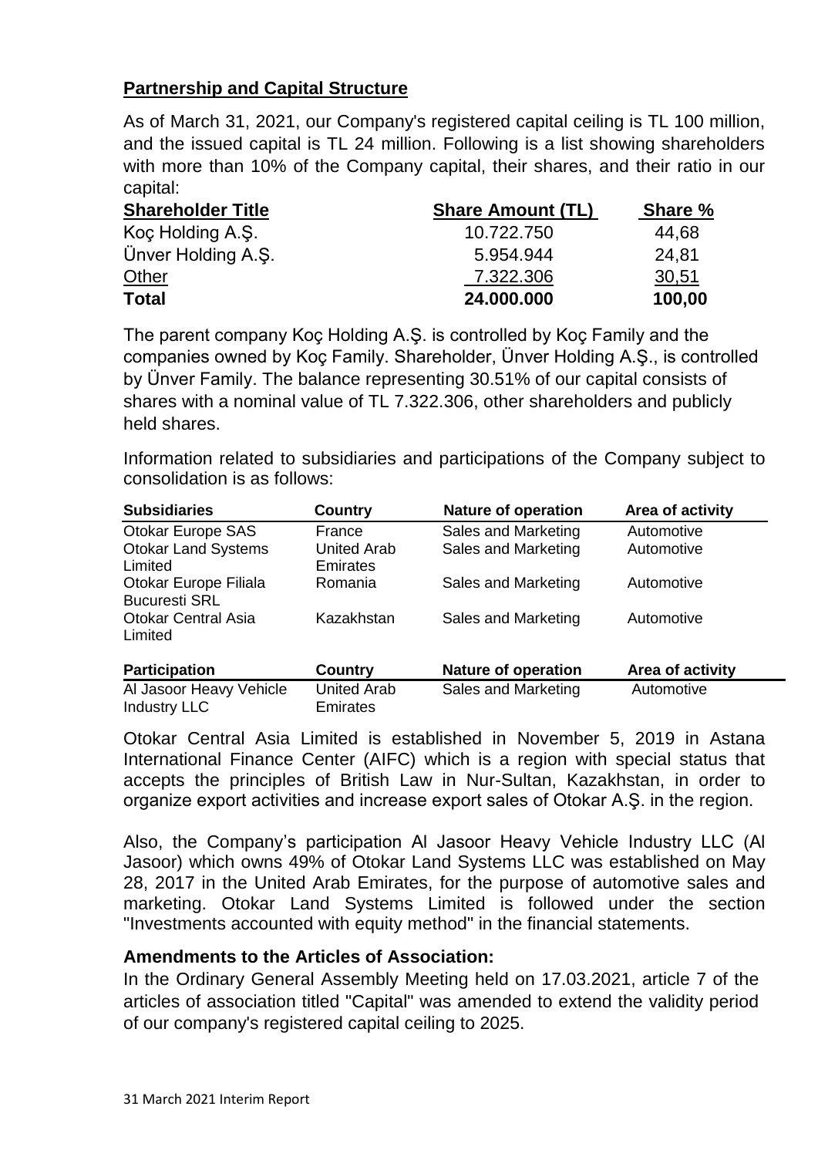#### **Partnership and Capital Structure**

As of March 31, 2021, our Company's registered capital ceiling is TL 100 million, and the issued capital is TL 24 million. Following is a list showing shareholders with more than 10% of the Company capital, their shares, and their ratio in our capital:

| <b>Shareholder Title</b> | <b>Share Amount (TL)</b> | Share % |
|--------------------------|--------------------------|---------|
| Koç Holding A.Ş.         | 10.722.750               | 44,68   |
| Ünver Holding A.S.       | 5.954.944                | 24.81   |
| Other                    | 7.322.306                | 30,51   |
| <b>Total</b>             | 24.000.000               | 100,00  |

The parent company Koç Holding A.Ş. is controlled by Koç Family and the companies owned by Koç Family. Shareholder, Ünver Holding A.Ş., is controlled by Ünver Family. The balance representing 30.51% of our capital consists of shares with a nominal value of TL 7.322.306, other shareholders and publicly held shares.

Information related to subsidiaries and participations of the Company subject to consolidation is as follows:

| <b>Subsidiaries</b>                            | Country                               | <b>Nature of operation</b> | Area of activity |
|------------------------------------------------|---------------------------------------|----------------------------|------------------|
| <b>Otokar Europe SAS</b>                       | France                                | Sales and Marketing        | Automotive       |
| <b>Otokar Land Systems</b><br>Limited          | <b>United Arab</b><br>Emirates        | Sales and Marketing        | Automotive       |
| Otokar Europe Filiala<br><b>Bucuresti SRL</b>  | Romania                               | Sales and Marketing        | Automotive       |
| <b>Otokar Central Asia</b><br>Limited          | Kazakhstan                            | Sales and Marketing        | Automotive       |
| <b>Participation</b>                           | <b>Country</b>                        | <b>Nature of operation</b> | Area of activity |
| Al Jasoor Heavy Vehicle<br><b>Industry LLC</b> | <b>United Arab</b><br><b>Emirates</b> | Sales and Marketing        | Automotive       |

Otokar Central Asia Limited is established in November 5, 2019 in Astana International Finance Center (AIFC) which is a region with special status that accepts the principles of British Law in Nur-Sultan, Kazakhstan, in order to organize export activities and increase export sales of Otokar A.Ş. in the region.

Also, the Company's participation Al Jasoor Heavy Vehicle Industry LLC (Al Jasoor) which owns 49% of Otokar Land Systems LLC was established on May 28, 2017 in the United Arab Emirates, for the purpose of automotive sales and marketing. Otokar Land Systems Limited is followed under the section "Investments accounted with equity method" in the financial statements.

#### **Amendments to the Articles of Association:**

In the Ordinary General Assembly Meeting held on 17.03.2021, article 7 of the articles of association titled "Capital" was amended to extend the validity period of our company's registered capital ceiling to 2025.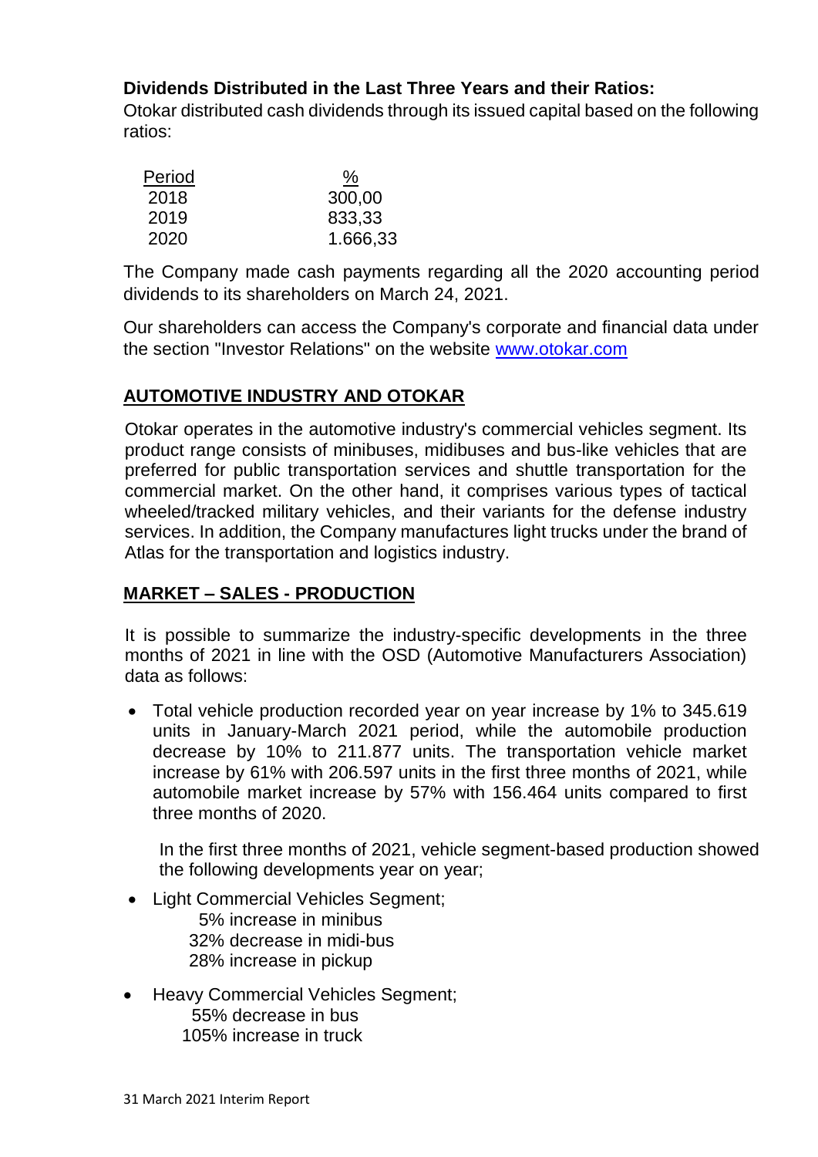#### **Dividends Distributed in the Last Three Years and their Ratios:**

Otokar distributed cash dividends through its issued capital based on the following ratios:

| Period | <u>%</u> |
|--------|----------|
| 2018   | 300,00   |
| 2019   | 833,33   |
| 2020   | 1.666,33 |

The Company made cash payments regarding all the 2020 accounting period dividends to its shareholders on March 24, 2021.

Our shareholders can access the Company's corporate and financial data under the section "Investor Relations" on the website [www.otokar.com](http://www.otokar.com/)

#### **AUTOMOTIVE INDUSTRY AND OTOKAR**

Otokar operates in the automotive industry's commercial vehicles segment. Its product range consists of minibuses, midibuses and bus-like vehicles that are preferred for public transportation services and shuttle transportation for the commercial market. On the other hand, it comprises various types of tactical wheeled/tracked military vehicles, and their variants for the defense industry services. In addition, the Company manufactures light trucks under the brand of Atlas for the transportation and logistics industry.

#### **MARKET – SALES - PRODUCTION**

It is possible to summarize the industry-specific developments in the three months of 2021 in line with the OSD (Automotive Manufacturers Association) data as follows:

 Total vehicle production recorded year on year increase by 1% to 345.619 units in January-March 2021 period, while the automobile production decrease by 10% to 211.877 units. The transportation vehicle market increase by 61% with 206.597 units in the first three months of 2021, while automobile market increase by 57% with 156.464 units compared to first three months of 2020.

In the first three months of 2021, vehicle segment-based production showed the following developments year on year;

- Light Commercial Vehicles Segment; 5% increase in minibus 32% decrease in midi-bus 28% increase in pickup
- Heavy Commercial Vehicles Segment; 55% decrease in bus 105% increase in truck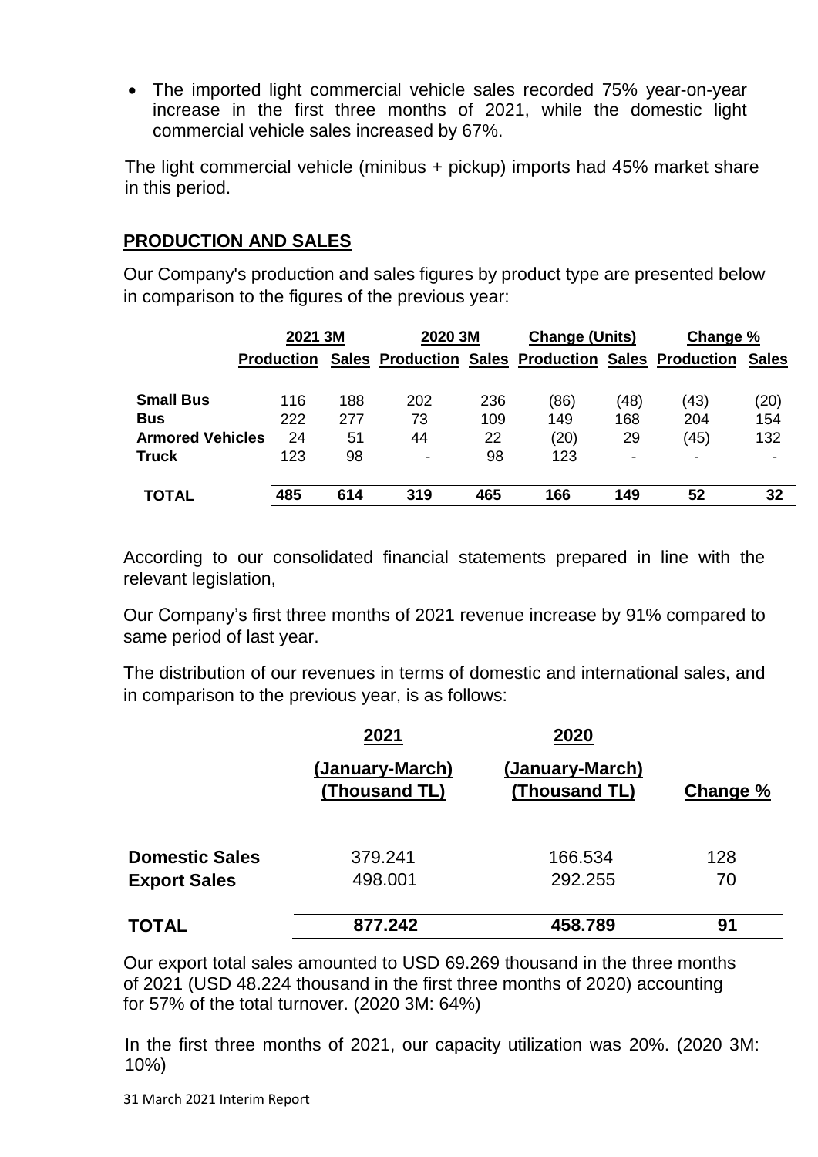The imported light commercial vehicle sales recorded 75% year-on-year increase in the first three months of 2021, while the domestic light commercial vehicle sales increased by 67%.

The light commercial vehicle (minibus + pickup) imports had 45% market share in this period.

#### **PRODUCTION AND SALES**

Our Company's production and sales figures by product type are presented below in comparison to the figures of the previous year:

|                         | 2021 3M           |     | 2020 3M                                            |     | <b>Change (Units)</b> |                          | Change %                 |              |
|-------------------------|-------------------|-----|----------------------------------------------------|-----|-----------------------|--------------------------|--------------------------|--------------|
|                         | <b>Production</b> |     | Sales Production Sales Production Sales Production |     |                       |                          |                          | <b>Sales</b> |
| <b>Small Bus</b>        | 116               | 188 | 202                                                | 236 | (86)                  | (48)                     | (43)                     | (20)         |
| <b>Bus</b>              | 222               | 277 | 73                                                 | 109 | 149                   | 168                      | 204                      | 154          |
| <b>Armored Vehicles</b> | 24                | 51  | 44                                                 | 22  | (20)                  | 29                       | (45)                     | 132          |
| <b>Truck</b>            | 123               | 98  | ۰                                                  | 98  | 123                   | $\overline{\phantom{0}}$ | $\overline{\phantom{0}}$ |              |
| <b>TOTAL</b>            | 485               | 614 | 319                                                | 465 | 166                   | 149                      | 52                       | 32           |

According to our consolidated financial statements prepared in line with the relevant legislation,

Our Company's first three months of 2021 revenue increase by 91% compared to same period of last year.

The distribution of our revenues in terms of domestic and international sales, and in comparison to the previous year, is as follows:

|                       | 2021                             | 2020                             |          |
|-----------------------|----------------------------------|----------------------------------|----------|
|                       | (January-March)<br>(Thousand TL) | (January-March)<br>(Thousand TL) | Change % |
| <b>Domestic Sales</b> | 379.241                          | 166.534                          | 128      |
| <b>Export Sales</b>   | 498.001                          | 292.255                          | 70       |
| <b>TOTAL</b>          | 877.242                          | 458.789                          | 91       |

Our export total sales amounted to USD 69.269 thousand in the three months of 2021 (USD 48.224 thousand in the first three months of 2020) accounting for 57% of the total turnover. (2020 3M: 64%)

In the first three months of 2021, our capacity utilization was 20%. (2020 3M: 10%)

31 March 2021 Interim Report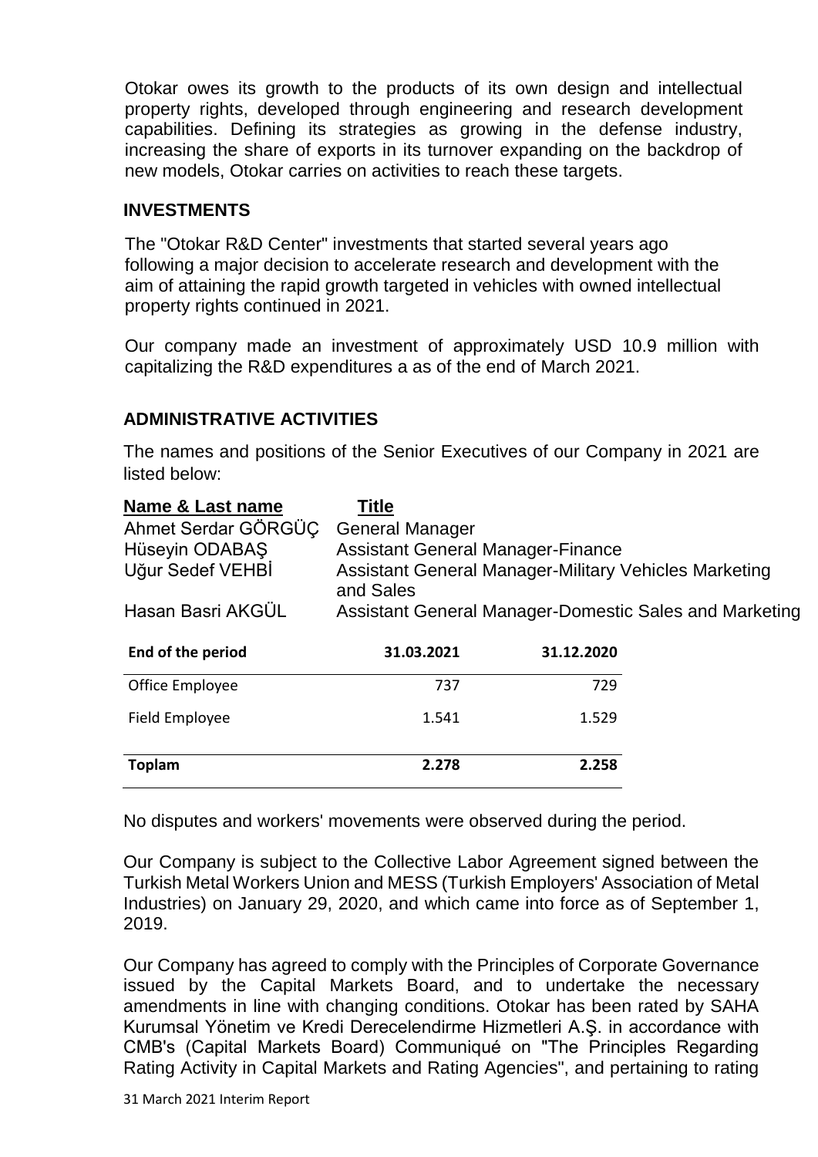Otokar owes its growth to the products of its own design and intellectual property rights, developed through engineering and research development capabilities. Defining its strategies as growing in the defense industry, increasing the share of exports in its turnover expanding on the backdrop of new models, Otokar carries on activities to reach these targets.

#### **INVESTMENTS**

The "Otokar R&D Center" investments that started several years ago following a major decision to accelerate research and development with the aim of attaining the rapid growth targeted in vehicles with owned intellectual property rights continued in 2021.

Our company made an investment of approximately USD 10.9 million with capitalizing the R&D expenditures a as of the end of March 2021.

#### **ADMINISTRATIVE ACTIVITIES**

The names and positions of the Senior Executives of our Company in 2021 are listed below:

| <b>Title</b>                                                 |            |                                                                                                    |  |
|--------------------------------------------------------------|------------|----------------------------------------------------------------------------------------------------|--|
| <b>General Manager</b>                                       |            |                                                                                                    |  |
|                                                              |            |                                                                                                    |  |
| <b>Assistant General Manager-Military Vehicles Marketing</b> |            |                                                                                                    |  |
|                                                              |            |                                                                                                    |  |
| 31.03.2021                                                   | 31.12.2020 |                                                                                                    |  |
| 737                                                          | 729        |                                                                                                    |  |
| 1.541                                                        | 1.529      |                                                                                                    |  |
|                                                              |            |                                                                                                    |  |
|                                                              | and Sales  | <b>Assistant General Manager-Finance</b><br>Assistant General Manager-Domestic Sales and Marketing |  |

No disputes and workers' movements were observed during the period.

Our Company is subject to the Collective Labor Agreement signed between the Turkish Metal Workers Union and MESS (Turkish Employers' Association of Metal Industries) on January 29, 2020, and which came into force as of September 1, 2019.

Our Company has agreed to comply with the Principles of Corporate Governance issued by the Capital Markets Board, and to undertake the necessary amendments in line with changing conditions. Otokar has been rated by SAHA Kurumsal Yönetim ve Kredi Derecelendirme Hizmetleri A.Ş. in accordance with CMB's (Capital Markets Board) Communiqué on "The Principles Regarding Rating Activity in Capital Markets and Rating Agencies", and pertaining to rating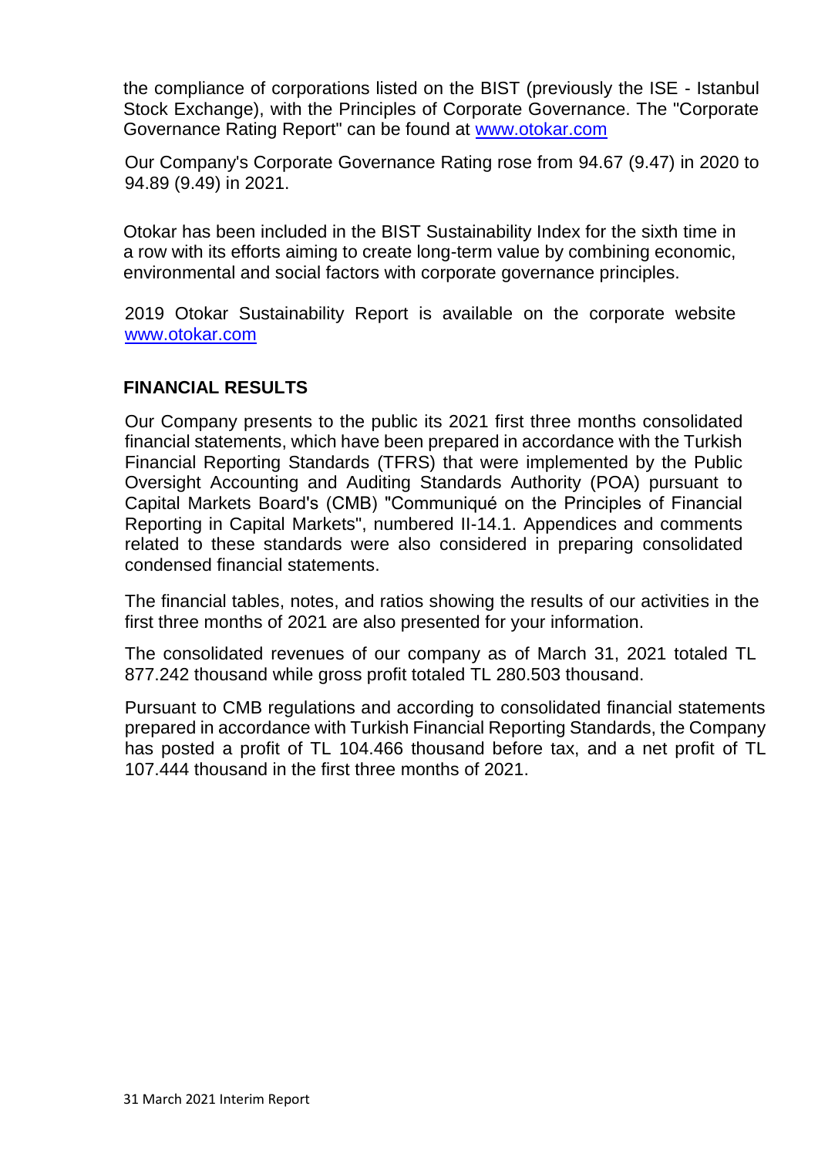the compliance of corporations listed on the BIST (previously the ISE - Istanbul Stock Exchange), with the Principles of Corporate Governance. The "Corporate Governance Rating Report" can be found at [www.otokar.com](http://www.otokar.com/)

Our Company's Corporate Governance Rating rose from 94.67 (9.47) in 2020 to 94.89 (9.49) in 2021.

Otokar has been included in the BIST Sustainability Index for the sixth time in a row with its efforts aiming to create long-term value by combining economic, environmental and social factors with corporate governance principles.

2019 Otokar Sustainability Report is available on the corporate website [www.otokar.com](http://www.otokar.com/)

#### **FINANCIAL RESULTS**

Our Company presents to the public its 2021 first three months consolidated financial statements, which have been prepared in accordance with the Turkish Financial Reporting Standards (TFRS) that were implemented by the Public Oversight Accounting and Auditing Standards Authority (POA) pursuant to Capital Markets Board's (CMB) "Communiqué on the Principles of Financial Reporting in Capital Markets", numbered II-14.1. Appendices and comments related to these standards were also considered in preparing consolidated condensed financial statements.

The financial tables, notes, and ratios showing the results of our activities in the first three months of 2021 are also presented for your information.

The consolidated revenues of our company as of March 31, 2021 totaled TL 877.242 thousand while gross profit totaled TL 280.503 thousand.

Pursuant to CMB regulations and according to consolidated financial statements prepared in accordance with Turkish Financial Reporting Standards, the Company has posted a profit of TL 104.466 thousand before tax, and a net profit of TL 107.444 thousand in the first three months of 2021.